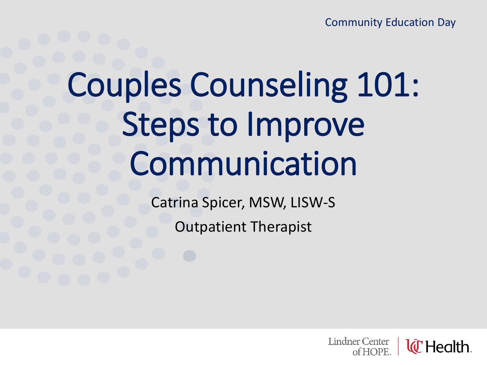Community Education Day

# Couples Counseling 101: Steps to Improve Communication

Catrina Spicer, MSW, LISW-S

Outpatient Therapist

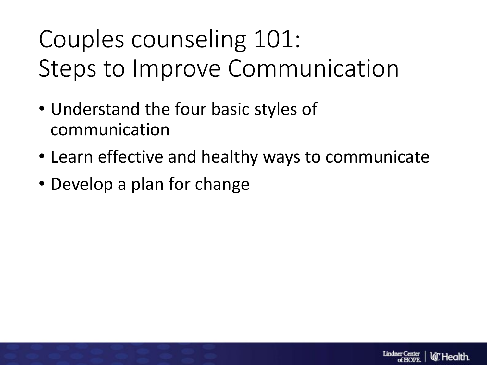### Couples counseling 101: Steps to Improve Communication

- Understand the four basic styles of communication
- Learn effective and healthy ways to communicate
- Develop a plan for change

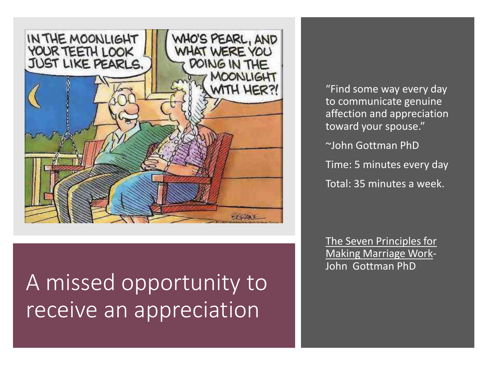

A missed opportunity to receive an appreciation

"Find some way every day to communicate genuine affection and appreciation toward your spouse."

~John Gottman PhD

Time: 5 minutes every day

Total: 35 minutes a week.

The Seven Principles for Making Marriage Work-John Gottman PhD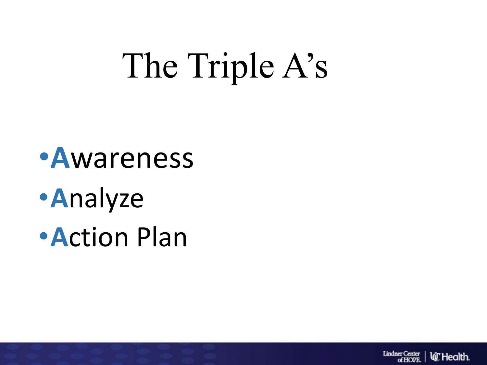# The Triple A's

- •**A**wareness
- •**A**nalyze
- •**A**ction Plan

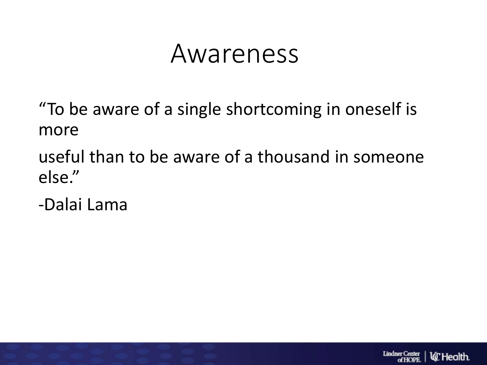### Awareness

"To be aware of a single shortcoming in oneself is more

useful than to be aware of a thousand in someone else."

-Dalai Lama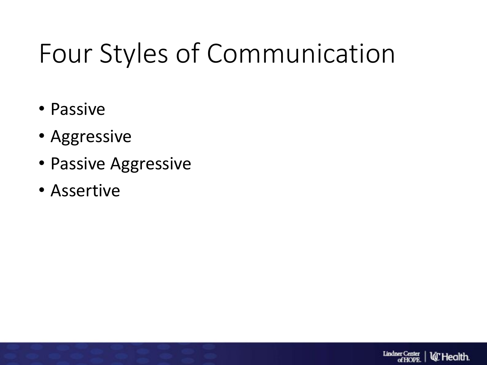## Four Styles of Communication

- Passive
- Aggressive
- Passive Aggressive
- Assertive

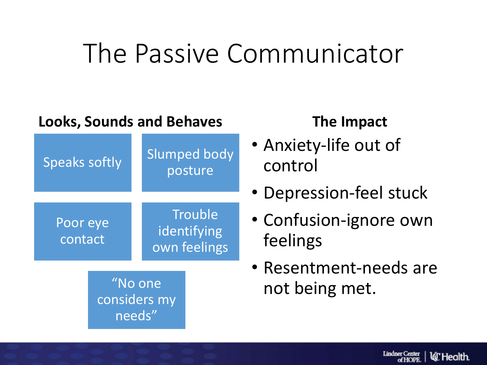### The Passive Communicator

#### **Looks, Sounds and Behaves**



needs"

- Anxiety-life out of control
- Depression-feel stuck
- Confusion-ignore own feelings
- Resentment-needs are not being met.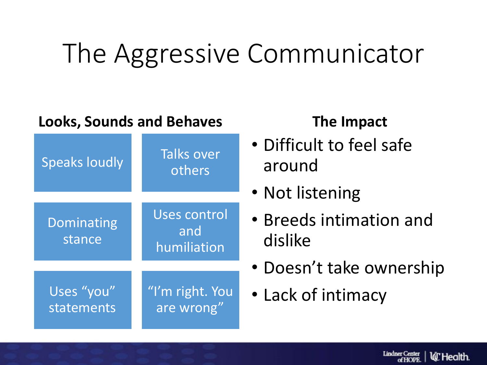### The Aggressive Communicator

#### **Looks, Sounds and Behaves**

| <b>Speaks loudly</b>     | <b>Talks over</b><br>others        |
|--------------------------|------------------------------------|
| Dominating<br>stance     | Uses control<br>and<br>humiliation |
| Uses "you"<br>statements | "I'm right. You<br>are wrong"      |

- Difficult to feel safe around
- Not listening
- Breeds intimation and dislike
- Doesn't take ownership
- Lack of intimacy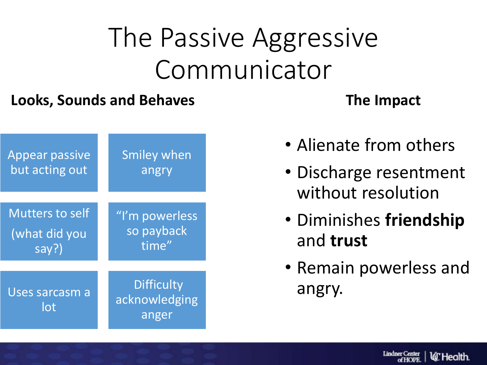## The Passive Aggressive Communicator

#### **Looks, Sounds and Behaves**



- Alienate from others
- Discharge resentment without resolution
- Diminishes **friendship** and **trust**
- Remain powerless and angry.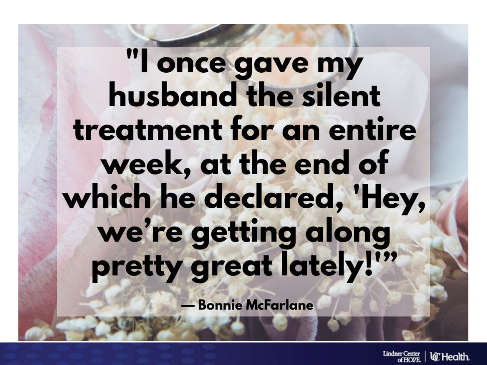# "I once gave my husband the silent treatment for an entire week, at the end of which he declared, 'Hey, we're getting along pretty great lately!"

**- Bonnie McFarlane** 

Lindner Center lá" Health.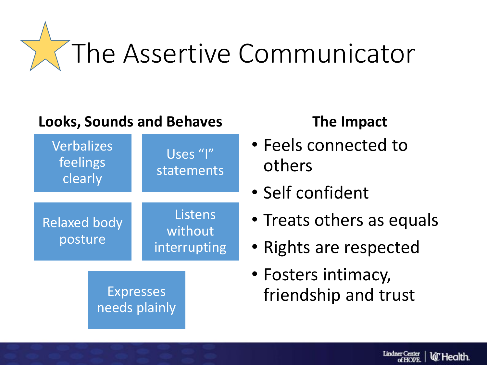

#### **Looks, Sounds and Behaves**



- Feels connected to others
- Self confident
- Treats others as equals
- Rights are respected
- Fosters intimacy, friendship and trust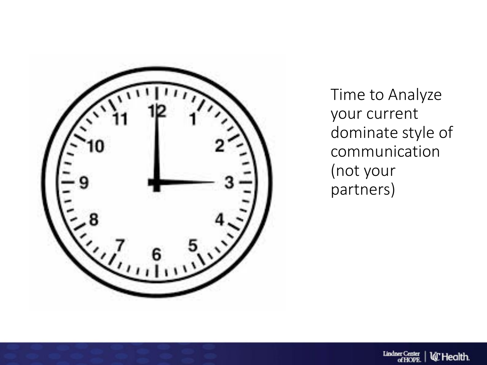

Time to Analyze your current dominate style of communication (not your partners)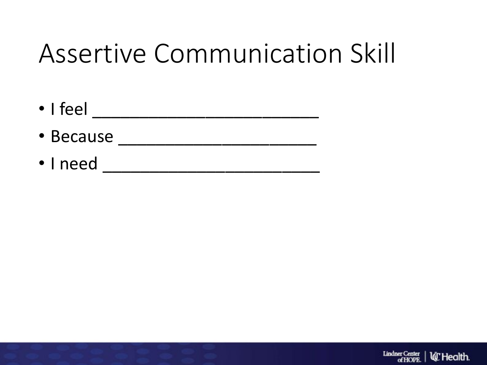## Assertive Communication Skill

- I feel  $\_$ • Because \_\_\_\_\_\_\_\_\_\_\_\_\_\_\_\_\_\_\_\_\_
- I need \_\_\_\_\_\_\_\_\_\_\_\_\_\_\_\_\_\_\_\_\_\_\_

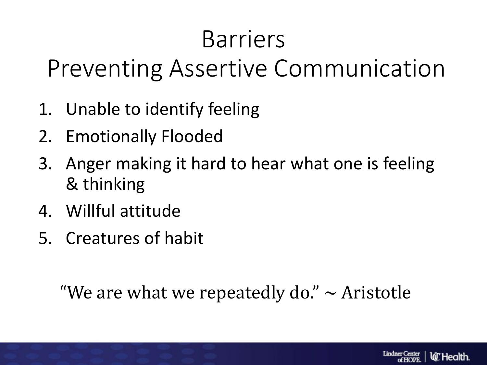### Barriers

Preventing Assertive Communication

- 1. Unable to identify feeling
- 2. Emotionally Flooded
- 3. Anger making it hard to hear what one is feeling & thinking
- 4. Willful attitude
- 5. Creatures of habit

"We are what we repeatedly do."  $\sim$  Aristotle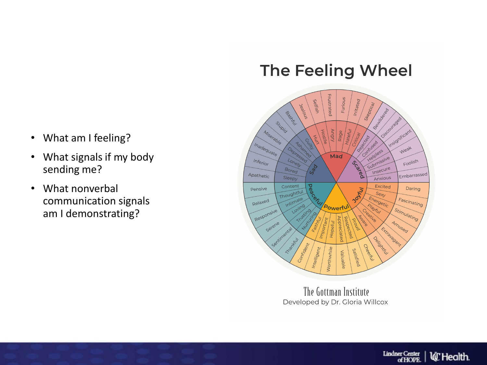#### The Feeling Wheel



The Gottman Institute Developed by Dr. Gloria Willcox

- What am I feeling?
- What signals if my body sending me?
- What nonverbal communication signals am I demonstrating?

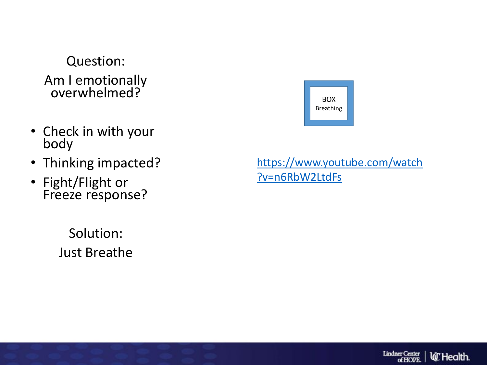#### Question: Am I emotionally overwhelmed?

- Check in with your body
- Thinking impacted?
- Fight/Flight or Freeze response?

Solution: Just Breathe



#### [https://www.youtube.com/watch](https://www.youtube.com/watch?v=n6RbW2LtdFs) ?v=n6RbW2LtdFs

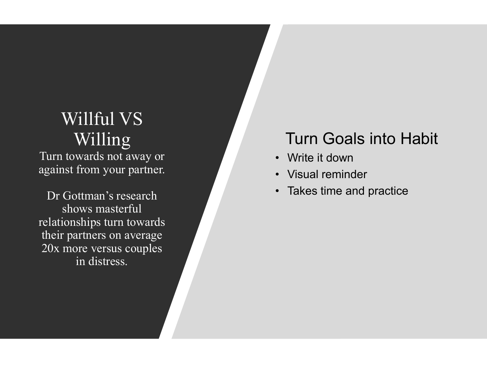#### Willful VS Willing

Turn towards not away or against from your partner.

Dr Gottman's research shows masterful relationships turn towards their partners on average 20x more versus couples in distress.

#### Turn Goals into Habit

- Write it down
- Visual reminder
- Takes time and practice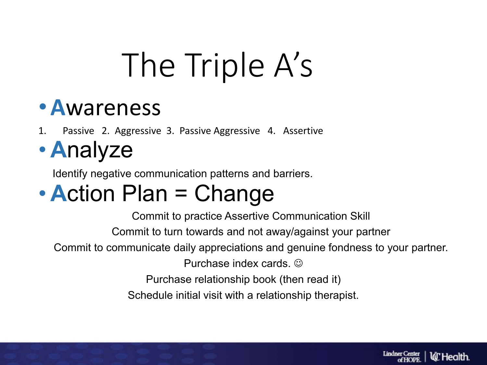# The Triple A's

### •**A**wareness

1. Passive 2. Aggressive 3. Passive Aggressive 4. Assertive

• **A**nalyze

Identify negative communication patterns and barriers.

### • **Action Plan = Change**

Commit to practice Assertive Communication Skill Commit to turn towards and not away/against your partner Commit to communicate daily appreciations and genuine fondness to your partner. Purchase index cards.  $\odot$ Purchase relationship book (then read it) Schedule initial visit with a relationship therapist.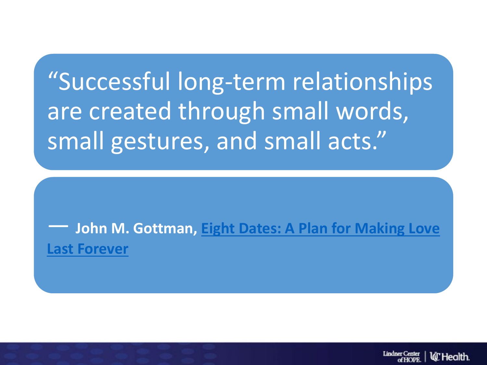"Successful long-term relationships are created through small words, small gestures, and small acts."

― **John M. Gottman, [Eight Dates: A Plan for Making Love](https://www.goodreads.com/work/quotes/59198136)  Last Forever**